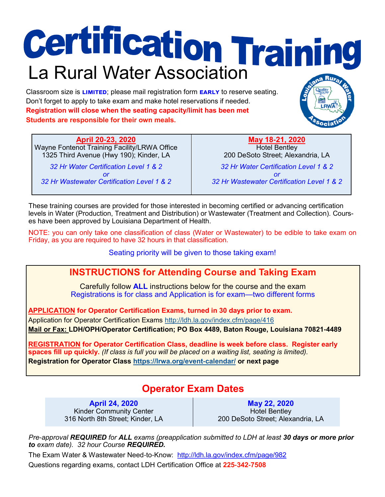# **Certification Training**

Classroom size is **limited**; please mail registration form **early** to reserve seating. Don't forget to apply to take exam and make hotel reservations if needed. **Registration will close when the seating capacity/limit has been met Students are responsible for their own meals.**

**April 20-23, 2020** Wayne Fontenot Training Facility/LRWA Office 1325 Third Avenue (Hwy 190); Kinder, LA

*32 Hr Water Certification Level 1 & 2 or 32 Hr Wastewater Certification Level 1 & 2*

**May 18-21, 2020** Hotel Bentley 200 DeSoto Street; Alexandria, LA *32 Hr Water Certification Level 1 & 2 or 32 Hr Wastewater Certification Level 1 & 2*

These training courses are provided for those interested in becoming certified or advancing certification levels in Water (Production, Treatment and Distribution) or Wastewater (Treatment and Collection). Courses have been approved by Louisiana Department of Health.

NOTE: you can only take one classification of class (Water or Wastewater) to be edible to take exam on Friday, as you are required to have 32 hours in that classification.

Seating priority will be given to those taking exam!

## **INSTRUCTIONS for Attending Course and Taking Exam**

Carefully follow **ALL** instructions below for the course and the exam Registrations is for class and Application is for exam—two different forms

**APPLICATION for Operator Certification Exams, turned in 30 days prior to exam.**

Application for Operator Certification Exams<http://ldh.la.gov/index.cfm/page/416>

**Mail or Fax: LDH/OPH/Operator Certification; PO Box 4489, Baton Rouge, Louisiana 70821-4489** 

**REGISTRATION for Operator Certification Class, deadline is week before class. Register early spaces fill up quickly.** *(If class is full you will be placed on a waiting list, seating is limited).* **Registration for Operator Class <https://lrwa.org/event-calendar/> or next page** 

# **Operator Exam Dates**

**April 24, 2020** Kinder Community Center 316 North 8th Street; Kinder, LA

**May 22, 2020** Hotel Bentley 200 DeSoto Street; Alexandria, LA

*Pre-approval REQUIRED for ALL exams (preapplication submitted to LDH at least 30 days or more prior to exam date). 32 hour Course REQUIRED.*

The Exam Water & Wastewater Need-to-Know: <http://ldh.la.gov/index.cfm/page/982> Questions regarding exams, contact LDH Certification Office at **225-342-7508**